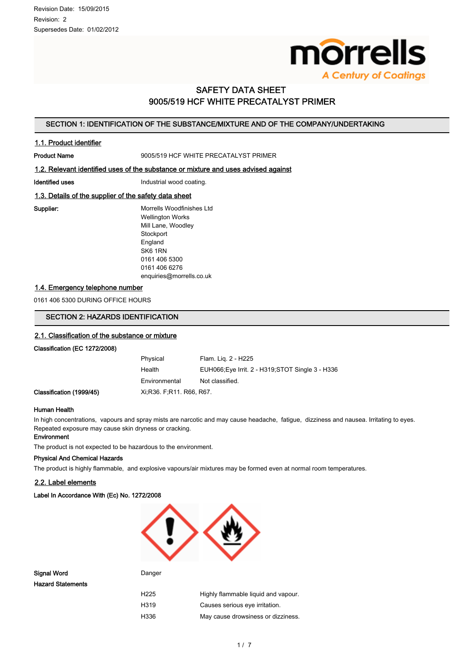

# SAFETY DATA SHEET 9005/519 HCF WHITE PRECATALYST PRIMER

# SECTION 1: IDENTIFICATION OF THE SUBSTANCE/MIXTURE AND OF THE COMPANY/UNDERTAKING

### 1.1. Product identifier

Product Name **9005/519 HCF WHITE PRECATALYST PRIMER** 

### 1.2. Relevant identified uses of the substance or mixture and uses advised against

Identified uses **Industrial wood coating.** 

# 1.3. Details of the supplier of the safety data sheet

Supplier: Morrells Woodfinishes Ltd Wellington Works Mill Lane, Woodley **Stockport** England SK6 1RN 0161 406 5300 0161 406 6276 enquiries@morrells.co.uk

# 1.4. Emergency telephone number

0161 406 5300 DURING OFFICE HOURS

# SECTION 2: HAZARDS IDENTIFICATION

#### 2.1. Classification of the substance or mixture

#### Classification (EC 1272/2008)

| Physical                 | Flam. Lig. 2 - H225                               |
|--------------------------|---------------------------------------------------|
| Health                   | EUH066, Eye Irrit. 2 - H319, STOT Single 3 - H336 |
| Environmental            | Not classified.                                   |
| Xi R36, F.R11, R66, R67, |                                                   |

#### Human Health

Classification (1999/45)

In high concentrations, vapours and spray mists are narcotic and may cause headache, fatigue, dizziness and nausea. Irritating to eyes. Repeated exposure may cause skin dryness or cracking.

#### Environment

The product is not expected to be hazardous to the environment.

#### Physical And Chemical Hazards

The product is highly flammable, and explosive vapours/air mixtures may be formed even at normal room temperatures.

#### 2.2. Label elements

Label In Accordance With (Ec) No. 1272/2008



Signal Word **Danger** Danger Hazard Statements

| H225 | Highly flammable liquid and vapour. |
|------|-------------------------------------|
| H319 | Causes serious eye irritation.      |
| H336 | May cause drowsiness or dizziness.  |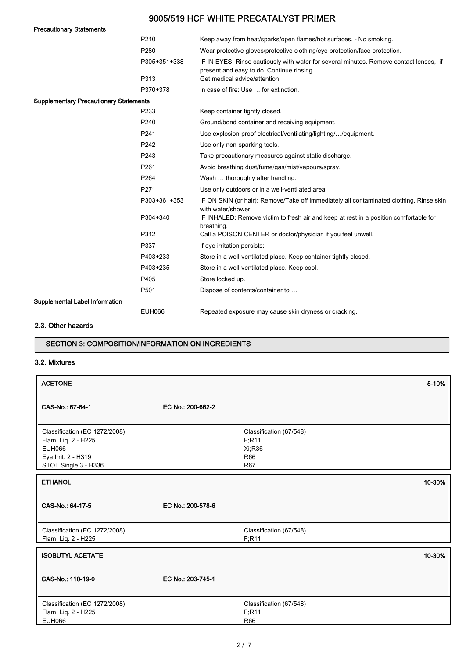| <b>Precautionary Statements</b>               |               |                                                                                                                                     |
|-----------------------------------------------|---------------|-------------------------------------------------------------------------------------------------------------------------------------|
|                                               | P210          | Keep away from heat/sparks/open flames/hot surfaces. - No smoking.                                                                  |
|                                               | P280          | Wear protective gloves/protective clothing/eye protection/face protection.                                                          |
|                                               | P305+351+338  | IF IN EYES: Rinse cautiously with water for several minutes. Remove contact lenses, if<br>present and easy to do. Continue rinsing. |
|                                               | P313          | Get medical advice/attention.                                                                                                       |
|                                               | P370+378      | In case of fire: Use  for extinction.                                                                                               |
| <b>Supplementary Precautionary Statements</b> |               |                                                                                                                                     |
|                                               | P233          | Keep container tightly closed.                                                                                                      |
|                                               | P240          | Ground/bond container and receiving equipment.                                                                                      |
|                                               | P241          | Use explosion-proof electrical/ventilating/lighting//equipment.                                                                     |
|                                               | P242          | Use only non-sparking tools.                                                                                                        |
|                                               | P243          | Take precautionary measures against static discharge.                                                                               |
|                                               | P261          | Avoid breathing dust/fume/gas/mist/vapours/spray.                                                                                   |
|                                               | P264          | Wash  thoroughly after handling.                                                                                                    |
|                                               | P271          | Use only outdoors or in a well-ventilated area.                                                                                     |
|                                               | P303+361+353  | IF ON SKIN (or hair): Remove/Take off immediately all contaminated clothing. Rinse skin<br>with water/shower.                       |
|                                               | P304+340      | IF INHALED: Remove victim to fresh air and keep at rest in a position comfortable for<br>breathing.                                 |
|                                               | P312          | Call a POISON CENTER or doctor/physician if you feel unwell.                                                                        |
|                                               | P337          | If eye irritation persists:                                                                                                         |
|                                               | P403+233      | Store in a well-ventilated place. Keep container tightly closed.                                                                    |
|                                               | P403+235      | Store in a well-ventilated place. Keep cool.                                                                                        |
|                                               | P405          | Store locked up.                                                                                                                    |
|                                               | P501          | Dispose of contents/container to                                                                                                    |
| Supplemental Label Information                |               |                                                                                                                                     |
|                                               | <b>EUH066</b> | Repeated exposure may cause skin dryness or cracking.                                                                               |

# 2.3. Other hazards

# SECTION 3: COMPOSITION/INFORMATION ON INGREDIENTS

# 3.2. Mixtures

| <b>ACETONE</b>                                                                                                |                   |                                                                        | 5-10%  |
|---------------------------------------------------------------------------------------------------------------|-------------------|------------------------------------------------------------------------|--------|
| CAS-No.: 67-64-1                                                                                              | EC No.: 200-662-2 |                                                                        |        |
| Classification (EC 1272/2008)<br>Flam. Liq. 2 - H225<br>EUH066<br>Eye Irrit. 2 - H319<br>STOT Single 3 - H336 |                   | Classification (67/548)<br>F;R11<br>Xi;R36<br><b>R66</b><br><b>R67</b> |        |
| <b>ETHANOL</b>                                                                                                |                   |                                                                        | 10-30% |
| CAS-No.: 64-17-5                                                                                              | EC No.: 200-578-6 |                                                                        |        |
| Classification (EC 1272/2008)<br>Flam. Liq. 2 - H225                                                          |                   | Classification (67/548)<br>F; R11                                      |        |
| <b>ISOBUTYL ACETATE</b>                                                                                       |                   |                                                                        | 10-30% |
| CAS-No.: 110-19-0                                                                                             | EC No.: 203-745-1 |                                                                        |        |
| Classification (EC 1272/2008)<br>Flam. Liq. 2 - H225<br><b>EUH066</b>                                         |                   | Classification (67/548)<br>F:R11<br><b>R66</b>                         |        |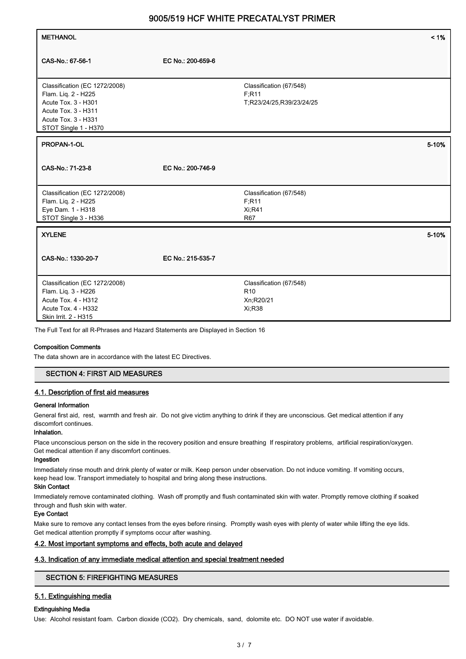| <b>METHANOL</b>                                                                                                                                                                                                 |                   |                                                                   | $< 1\%$ |
|-----------------------------------------------------------------------------------------------------------------------------------------------------------------------------------------------------------------|-------------------|-------------------------------------------------------------------|---------|
| CAS-No.: 67-56-1                                                                                                                                                                                                | EC No.: 200-659-6 |                                                                   |         |
| Classification (EC 1272/2008)<br>Flam. Liq. 2 - H225<br>Acute Tox. 3 - H301<br>Acute Tox. 3 - H311<br>Acute Tox. 3 - H331<br>STOT Single 1 - H370                                                               |                   | Classification (67/548)<br>F; R11<br>T;R23/24/25,R39/23/24/25     |         |
| PROPAN-1-OL                                                                                                                                                                                                     |                   |                                                                   | 5-10%   |
| CAS-No.: 71-23-8                                                                                                                                                                                                | EC No.: 200-746-9 |                                                                   |         |
| Classification (EC 1272/2008)<br>Flam. Liq. 2 - H225<br>Eye Dam. 1 - H318<br>STOT Single 3 - H336                                                                                                               |                   | Classification (67/548)<br>F; R11<br><b>Xi,R41</b><br>R67         |         |
| <b>XYLENE</b>                                                                                                                                                                                                   |                   |                                                                   | 5-10%   |
| CAS-No.: 1330-20-7                                                                                                                                                                                              | EC No.: 215-535-7 |                                                                   |         |
| Classification (EC 1272/2008)<br>Flam. Liq. 3 - H226<br>Acute Tox. 4 - H312<br>Acute Tox. 4 - H332<br>Skin Irrit. 2 - H315<br>The Full Text for all R-Phrases and Hazard Statements are Displayed in Section 16 |                   | Classification (67/548)<br>R <sub>10</sub><br>Xn;R20/21<br>Xi;R38 |         |

#### Composition Comments

The data shown are in accordance with the latest EC Directives.

#### SECTION 4: FIRST AID MEASURES

### 4.1. Description of first aid measures

#### General Information

General first aid, rest, warmth and fresh air. Do not give victim anything to drink if they are unconscious. Get medical attention if any discomfort continues.

### Inhalation.

Place unconscious person on the side in the recovery position and ensure breathing If respiratory problems, artificial respiration/oxygen. Get medical attention if any discomfort continues.

### Ingestion

Immediately rinse mouth and drink plenty of water or milk. Keep person under observation. Do not induce vomiting. If vomiting occurs, keep head low. Transport immediately to hospital and bring along these instructions.

#### Skin Contact

Immediately remove contaminated clothing. Wash off promptly and flush contaminated skin with water. Promptly remove clothing if soaked through and flush skin with water.

#### Eye Contact

Make sure to remove any contact lenses from the eyes before rinsing. Promptly wash eyes with plenty of water while lifting the eye lids. Get medical attention promptly if symptoms occur after washing.

# 4.2. Most important symptoms and effects, both acute and delayed

#### 4.3. Indication of any immediate medical attention and special treatment needed

### SECTION 5: FIREFIGHTING MEASURES

# 5.1. Extinguishing media

#### Extinguishing Media

Use: Alcohol resistant foam. Carbon dioxide (CO2). Dry chemicals, sand, dolomite etc. DO NOT use water if avoidable.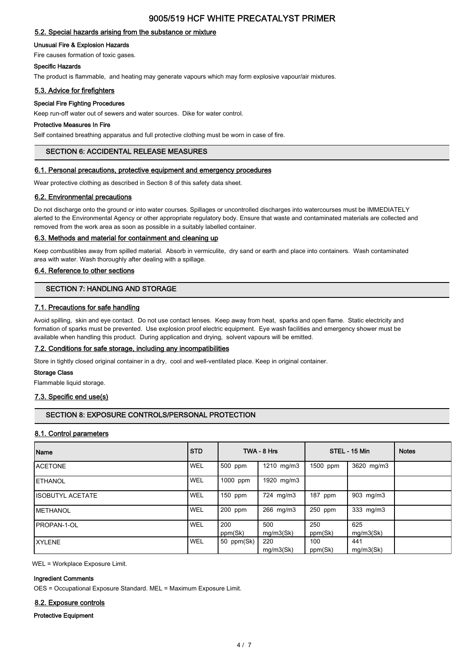# 5.2. Special hazards arising from the substance or mixture

#### Unusual Fire & Explosion Hazards

Fire causes formation of toxic gases.

#### Specific Hazards

The product is flammable, and heating may generate vapours which may form explosive vapour/air mixtures.

#### 5.3. Advice for firefighters

#### Special Fire Fighting Procedures

Keep run-off water out of sewers and water sources. Dike for water control.

#### Protective Measures In Fire

Self contained breathing apparatus and full protective clothing must be worn in case of fire.

#### SECTION 6: ACCIDENTAL RELEASE MEASURES

#### 6.1. Personal precautions, protective equipment and emergency procedures

Wear protective clothing as described in Section 8 of this safety data sheet.

#### 6.2. Environmental precautions

Do not discharge onto the ground or into water courses. Spillages or uncontrolled discharges into watercourses must be IMMEDIATELY alerted to the Environmental Agency or other appropriate regulatory body. Ensure that waste and contaminated materials are collected and removed from the work area as soon as possible in a suitably labelled container.

#### 6.3. Methods and material for containment and cleaning up

Keep combustibles away from spilled material. Absorb in vermiculite, dry sand or earth and place into containers. Wash contaminated area with water. Wash thoroughly after dealing with a spillage.

#### 6.4. Reference to other sections

# SECTION 7: HANDLING AND STORAGE

### 7.1. Precautions for safe handling

Avoid spilling, skin and eye contact. Do not use contact lenses. Keep away from heat, sparks and open flame. Static electricity and formation of sparks must be prevented. Use explosion proof electric equipment. Eye wash facilities and emergency shower must be available when handling this product. During application and drying, solvent vapours will be emitted.

#### 7.2. Conditions for safe storage, including any incompatibilities

Store in tightly closed original container in a dry, cool and well-ventilated place. Keep in original container.

#### Storage Class

Flammable liquid storage.

#### 7.3. Specific end use(s)

# SECTION 8: EXPOSURE CONTROLS/PERSONAL PROTECTION

#### 8.1. Control parameters

| Name                     | <b>STD</b> |                | TWA - 8 Hrs      |                | STEL - 15 Min    | <b>Notes</b> |
|--------------------------|------------|----------------|------------------|----------------|------------------|--------------|
| <b>IACETONE</b>          | <b>WEL</b> | 500 ppm        | 1210 mg/m3       | 1500 ppm       | 3620 mg/m3       |              |
| <b>IETHANOL</b>          | <b>WEL</b> | 1000 ppm       | 1920 mg/m3       |                |                  |              |
| <b>IISOBUTYL ACETATE</b> | <b>WEL</b> | 150 ppm        | 724 mg/m3        | 187 ppm        | 903 mg/m3        |              |
| <b>IMETHANOL</b>         | <b>WEL</b> | 200 ppm        | 266 mg/m3        | 250 ppm        | 333 mg/m3        |              |
| <b>IPROPAN-1-OL</b>      | WEL        | 200<br>ppm(Sk) | 500<br>mg/m3(Sk) | 250<br>ppm(Sk) | 625<br>mg/m3(Sk) |              |
| IXYLENE                  | <b>WEL</b> | 50 ppm(Sk)     | 220<br>mq/m3(Sk) | 100<br>ppm(Sk) | 441<br>mg/m3(Sk) |              |

WEL = Workplace Exposure Limit.

#### Ingredient Comments

OES = Occupational Exposure Standard. MEL = Maximum Exposure Limit.

#### 8.2. Exposure controls

#### Protective Equipment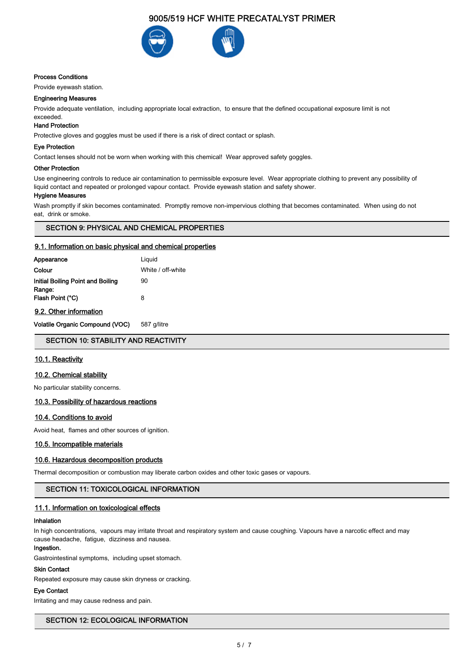

#### Process Conditions

Provide eyewash station.

#### Engineering Measures

Provide adequate ventilation, including appropriate local extraction, to ensure that the defined occupational exposure limit is not exceeded.

# Hand Protection

Protective gloves and goggles must be used if there is a risk of direct contact or splash.

### Eye Protection

Contact lenses should not be worn when working with this chemical! Wear approved safety goggles.

#### Other Protection

Use engineering controls to reduce air contamination to permissible exposure level. Wear appropriate clothing to prevent any possibility of liquid contact and repeated or prolonged vapour contact. Provide eyewash station and safety shower.

#### Hygiene Measures

Wash promptly if skin becomes contaminated. Promptly remove non-impervious clothing that becomes contaminated. When using do not eat, drink or smoke.

### SECTION 9: PHYSICAL AND CHEMICAL PROPERTIES

#### 9.1. Information on basic physical and chemical properties

| Appearance                                  | Liguid            |
|---------------------------------------------|-------------------|
| Colour                                      | White / off-white |
| Initial Boiling Point and Boiling<br>Range: | 90                |
| Flash Point (°C)                            | 8                 |
| 9.2. Other information                      |                   |

# Volatile Organic Compound (VOC) 587 g/litre

### SECTION 10: STABILITY AND REACTIVITY

### 10.1. Reactivity

### 10.2. Chemical stability

No particular stability concerns.

#### 10.3. Possibility of hazardous reactions

#### 10.4. Conditions to avoid

Avoid heat, flames and other sources of ignition.

#### 10.5. Incompatible materials

# 10.6. Hazardous decomposition products

Thermal decomposition or combustion may liberate carbon oxides and other toxic gases or vapours.

#### SECTION 11: TOXICOLOGICAL INFORMATION

#### 11.1. Information on toxicological effects

#### Inhalation

In high concentrations, vapours may irritate throat and respiratory system and cause coughing. Vapours have a narcotic effect and may cause headache, fatigue, dizziness and nausea.

# Ingestion.

Gastrointestinal symptoms, including upset stomach.

# Skin Contact

Repeated exposure may cause skin dryness or cracking.

### Eye Contact

Irritating and may cause redness and pain.

# SECTION 12: ECOLOGICAL INFORMATION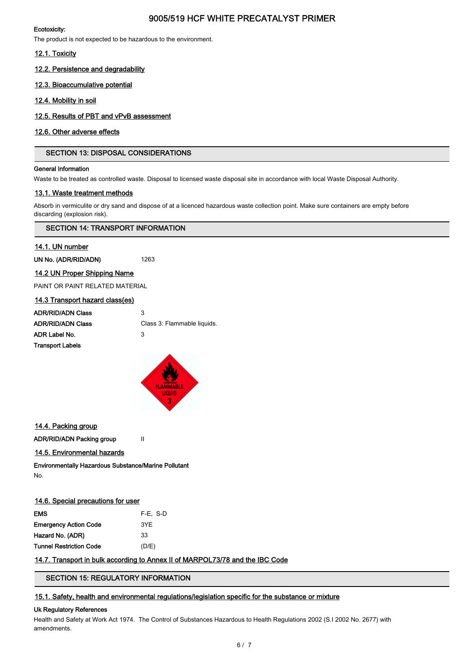# Ecotoxicity:

The product is not expected to be hazardous to the environment.

# 12.1. Toxicity

12.2. Persistence and degradability

# 12.3. Bioaccumulative potential

# 12.4. Mobility in soil

# 12.5. Results of PBT and vPvB assessment

# 12.6. Other adverse effects

# SECTION 13: DISPOSAL CONSIDERATIONS

#### General Information

Waste to be treated as controlled waste. Disposal to licensed waste disposal site in accordance with local Waste Disposal Authority.

# 13.1. Waste treatment methods

Absorb in vermiculite or dry sand and dispose of at a licenced hazardous waste collection point. Make sure containers are empty before discarding (explosion risk).

# SECTION 14: TRANSPORT INFORMATION

# 14.1. UN number

UN No. (ADR/RID/ADN) 1263

14.2 UN Proper Shipping Name

PAINT OR PAINT RELATED MATERIAL

| 14.3 Transport hazard class(es) |                             |
|---------------------------------|-----------------------------|
| <b>ADR/RID/ADN Class</b>        | 3                           |
| <b>ADR/RID/ADN Class</b>        | Class 3: Flammable liquids. |
| ADR Label No.                   | З                           |
| <b>Transport Labels</b>         |                             |



# 14.4. Packing group

ADR/RID/ADN Packing group II

14.5. Environmental hazards

Environmentally Hazardous Substance/Marine Pollutant No.

| 14.6. Special precautions for user |  |  |
|------------------------------------|--|--|
|                                    |  |  |

| EMS                          | F-E. S-D |
|------------------------------|----------|
| <b>Emergency Action Code</b> | 3YE      |
| Hazard No. (ADR)             | 33       |
| Tunnel Restriction Code      | (D/E)    |
|                              |          |

# 14.7. Transport in bulk according to Annex II of MARPOL73/78 and the IBC Code

SECTION 15: REGULATORY INFORMATION

# 15.1. Safety, health and environmental regulations/legislation specific for the substance or mixture

#### Uk Regulatory References

Health and Safety at Work Act 1974. The Control of Substances Hazardous to Health Regulations 2002 (S.I 2002 No. 2677) with amendments.